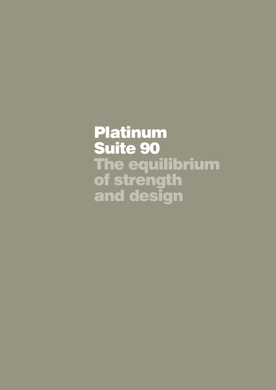Platinum Suite 90 The equilibrium of strength and design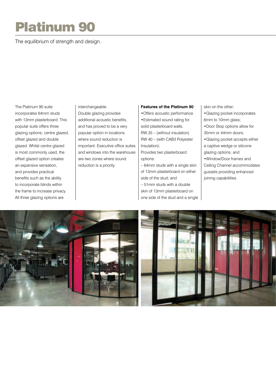## Platinum 90

The equilibrium of strength and design.

The Platinum 90 suite incorporates 64mm studs with 13mm plasterboard. This popular suite offers three glazing options; centre glazed, offset glazed and double glazed. Whilst centre glazed is most commonly used, the offset glazed option creates an expansive sensation, and provides practical benefits such as the ability to incorporate blinds within the frame to increase privacy. All three glazing options are

interchangeable.

Double glazing provides additional acoustic benefits, and has proved to be a very popular option in locations where sound reduction is important. Executive office suites and windows into the warehouse are two zones where sound reduction is a priority.

## **Features of the Platinum 90**

•Offers acoustic performance •Estimated sound rating for solid plasterboard walls. RW 35 – (without insulation) RW 40 – (with CAB3 Polyester Insulation);

Provides two plasterboard options:

- 64mm studs with a single skin of 13mm plasterboard on either side of the stud; and
- 51mm studs with a double skin of 13mm plasterboard on one side of the stud and a single

skin on the other;

- •Glazing pocket incorporates 6mm to 10mm glass;
- •Door Stop options allow for 35mm or 44mm doors;
- •Glazing pocket accepts either a captive wedge or silicone
- glazing options; and
- •Window/Door frames and Ceiling Channel accommodates gussets providing enhanced joining capabilities.



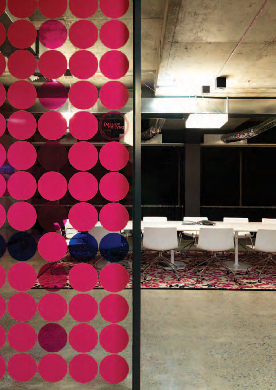